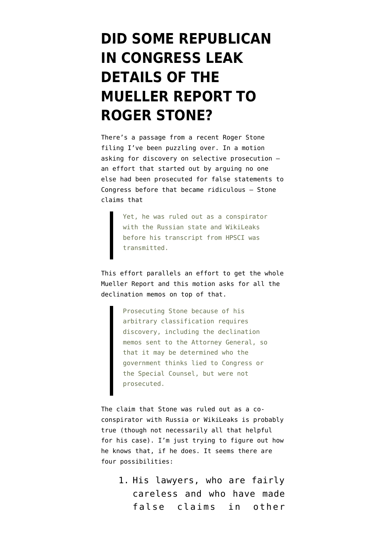## **[DID SOME REPUBLICAN](https://www.emptywheel.net/2019/05/23/did-some-republican-in-congress-leak-details-of-the-mueller-report-to-roger-stone/) [IN CONGRESS LEAK](https://www.emptywheel.net/2019/05/23/did-some-republican-in-congress-leak-details-of-the-mueller-report-to-roger-stone/) [DETAILS OF THE](https://www.emptywheel.net/2019/05/23/did-some-republican-in-congress-leak-details-of-the-mueller-report-to-roger-stone/) [MUELLER REPORT TO](https://www.emptywheel.net/2019/05/23/did-some-republican-in-congress-leak-details-of-the-mueller-report-to-roger-stone/) [ROGER STONE?](https://www.emptywheel.net/2019/05/23/did-some-republican-in-congress-leak-details-of-the-mueller-report-to-roger-stone/)**

There's a passage from a recent [Roger Stone](https://www.courtlistener.com/recap/gov.uscourts.dcd.203583/gov.uscourts.dcd.203583.113.0.pdf) [filing](https://www.courtlistener.com/recap/gov.uscourts.dcd.203583/gov.uscourts.dcd.203583.113.0.pdf) I've been puzzling over. In a motion asking for discovery on selective prosecution an effort that started out by arguing no one else had been prosecuted for false statements to Congress before that became ridiculous — Stone claims that

> Yet, he was ruled out as a conspirator with the Russian state and WikiLeaks before his transcript from HPSCI was transmitted.

This effort parallels an effort to get the whole Mueller Report and this motion asks for all the declination memos on top of that.

> Prosecuting Stone because of his arbitrary classification requires discovery, including the declination memos sent to the Attorney General, so that it may be determined who the government thinks lied to Congress or the Special Counsel, but were not prosecuted.

The claim that Stone was ruled out as a coconspirator with Russia or WikiLeaks is probably true (though not necessarily all that helpful for his case). I'm just trying to figure out how he knows that, if he does. It seems there are four possibilities:

1. His lawyers, who are fairly careless and who have made false claims in other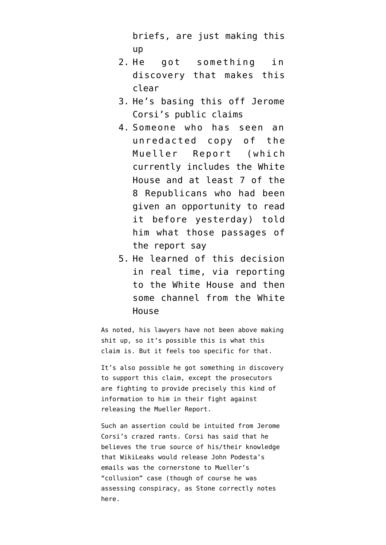briefs, are just making this up

- 2. He got something in discovery that makes this clear
- 3. He's basing this off Jerome Corsi's public claims
- 4. Someone who has seen an unredacted copy of the Mueller Report (which currently includes the White House and at least 7 of the 8 Republicans who had been given an opportunity to read it before yesterday) told him what those passages of the report say
- 5. He learned of this decision in real time, via reporting to the White House and then some channel from the White House

As noted, his lawyers have not been above making shit up, so it's possible this is what this claim is. But it feels too specific for that.

It's also possible he got something in discovery to support this claim, except the prosecutors are fighting to provide precisely this kind of information to him in their fight against releasing the Mueller Report.

Such an assertion could be intuited from Jerome Corsi's crazed rants. Corsi has said that he believes the true source of his/their knowledge that WikiLeaks would release John Podesta's emails was the cornerstone to Mueller's "collusion" case (though of course he was assessing conspiracy, as Stone correctly notes here.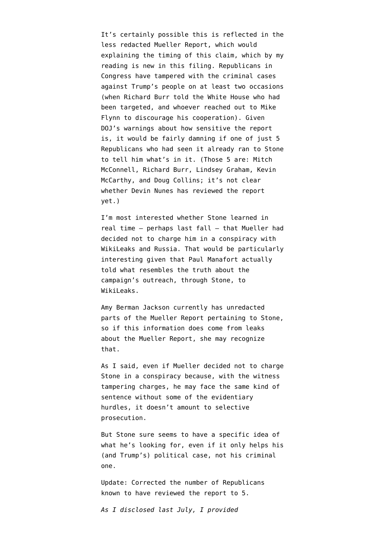It's certainly possible this is reflected in the less redacted Mueller Report, which would explaining the timing of this claim, which by my reading is new in this filing. Republicans in Congress have tampered with the criminal cases against Trump's people on at least two occasions (when Richard Burr told the White House who had been targeted, and whoever reached out to Mike Flynn to discourage his cooperation). Given DOJ's warnings about how sensitive the report is, it would be fairly damning if one of just 5 Republicans who had seen it already ran to Stone to tell him what's in it. (Those 5 are: Mitch McConnell, Richard Burr, Lindsey Graham, Kevin McCarthy, and Doug Collins; it's not clear whether Devin Nunes has reviewed the report yet.)

I'm most interested whether Stone learned in real time — perhaps last fall — that Mueller had decided not to charge him in a conspiracy with WikiLeaks and Russia. That would be particularly interesting given that Paul Manafort actually told what resembles the truth about the campaign's outreach, through Stone, to WikiLeaks.

Amy Berman Jackson currently has unredacted parts of the Mueller Report pertaining to Stone, so if this information does come from leaks about the Mueller Report, she may recognize that.

As I said, even if Mueller decided not to charge Stone in a conspiracy because, with the witness tampering charges, he may face the same kind of sentence without some of the evidentiary hurdles, it doesn't amount to selective prosecution.

But Stone sure seems to have a specific idea of what he's looking for, even if it only helps his (and Trump's) political case, not his criminal one.

Update: Corrected the number of Republicans known to have reviewed the report to 5.

*As I disclosed last July, I [provided](https://www.emptywheel.net/2018/07/03/putting-a-face-mine-to-the-risks-posed-by-gop-games-on-mueller-investigation/)*